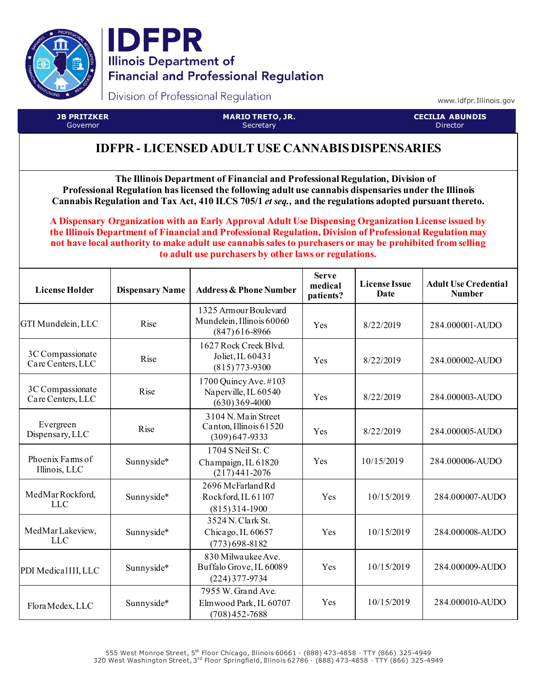



Division of Professional Regulation

www.idfpr.Illinois.gov

**JB PRITZKER** Governor

**MARIO TRETO, JR. Secretary** 

**CECILIA ABUNDIS** Director

## **IDFPR - LICENSED ADULT USE CANNABIS DISPENSARIES**

**The Illinois Department of Financial and Professional Regulation, Division of Professional Regulation has licensed the following adult use cannabis dispensaries under the Illinois Cannabis Regulation and Tax Act, 410 ILCS 705/1** *et seq.,* **and the regulations adopted pursuant thereto.**

**A Dispensary Organization with an Early Approval Adult Use Dispensing Organization License issued by the Illinois Department of Financial and Professional Regulation, Division of Professional Regulation may not have local authority to make adult use cannabis sales to purchasers or may be prohibited from selling to adult use purchasers by other laws or regulations.**

| <b>License Holder</b>                 | <b>Dispensary Name</b> | <b>Address &amp; Phone Number</b>                                       | <b>Serve</b><br>medical<br>patients? | <b>License Issue</b><br>Date | <b>Adult Use Credential</b><br><b>Number</b> |
|---------------------------------------|------------------------|-------------------------------------------------------------------------|--------------------------------------|------------------------------|----------------------------------------------|
| GTI Mundelein, LLC                    | Rise                   | 1325 Armour Boulevard<br>Mundelein, Illinois 60060<br>$(847)616 - 8966$ | Yes                                  | 8/22/2019                    | 284.000001-AUDO                              |
| 3C Compassionate<br>Care Centers, LLC | Rise                   | 1627 Rock Creek Blvd.<br>Joliet, IL 60431<br>$(815) 773 - 9300$         | Yes                                  | 8/22/2019                    | 284.000002-AUDO                              |
| 3C Compassionate<br>Care Centers, LLC | Rise                   | 1700 Quincy Ave. #103<br>Naperville, IL 60540<br>$(630)369-4000$        | Yes                                  | 8/22/2019                    | 284.000003-AUDO                              |
| Evergreen<br>Dispensary, LLC          | Rise                   | 3104 N. Main Street<br>Canton, Illinois 61520<br>$(309)647 - 9333$      | Yes                                  | 8/22/2019                    | 284.000005-AUDO                              |
| Phoenix Farms of<br>Illinois, LLC     | Sunnyside*             | 1704 S Neil St. C<br>Champaign, IL 61820<br>$(217)441 - 2076$           | Yes                                  | 10/15/2019                   | 284.000006-AUDO                              |
| MedMarRockford,<br><b>LLC</b>         | Sunnyside*             | 2696 McFarland Rd<br>Rockford, IL 61107<br>$(815)314-1900$              | Yes                                  | 10/15/2019                   | 284.000007-AUDO                              |
| MedMarLakeview,<br><b>LLC</b>         | Sunnyside*             | 3524 N. Clark St.<br>Chicago, IL 60657<br>$(773)698 - 8182$             | Yes                                  | 10/15/2019                   | 284.000008-AUDO                              |
| PDI Medical III, LLC                  | Sunnyside*             | 830 Milwaukee Ave.<br>Buffalo Grove, IL 60089<br>$(224)$ 377-9734       | Yes                                  | 10/15/2019                   | 284.000009-AUDO                              |
| Flora Medex, LLC                      | Sunnyside*             | 7955 W. Grand Ave.<br>Elmwood Park, IL 60707<br>$(708)452 - 7688$       | Yes                                  | 10/15/2019                   | 284.000010-AUDO                              |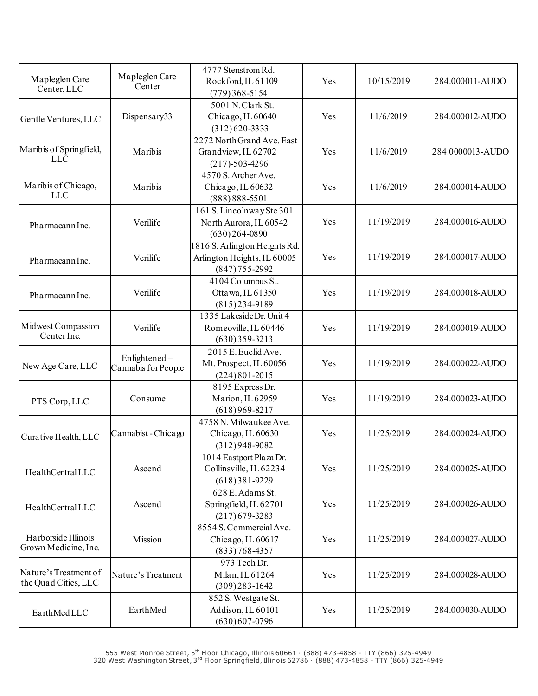| Mapleglen Care<br>Center, LLC                 | Mapleglen Care<br>Center            | 4777 Stenstrom Rd.<br>Rockford, IL 61109<br>$(779)368 - 5154$                    | Yes | 10/15/2019 | 284.000011-AUDO  |
|-----------------------------------------------|-------------------------------------|----------------------------------------------------------------------------------|-----|------------|------------------|
| Gentle Ventures, LLC                          | Dispensary33                        | 5001 N. Clark St.<br>Chicago, IL 60640<br>$(312)620 - 3333$                      | Yes | 11/6/2019  | 284.000012-AUDO  |
| Maribis of Springfield,<br><b>LLC</b>         | Maribis                             | 2272 North Grand Ave. East<br>Grandview, IL 62702<br>$(217)-503-4296$            | Yes | 11/6/2019  | 284.0000013-AUDO |
| Maribis of Chicago,<br><b>LLC</b>             | Maribis                             | 4570 S. Archer Ave.<br>Chicago, IL 60632<br>$(888) 888 - 5501$                   | Yes | 11/6/2019  | 284.000014-AUDO  |
| Pharmacann Inc.                               | Verilife                            | 161 S. Lincolnway Ste 301<br>North Aurora, IL 60542<br>$(630)$ 264-0890          | Yes | 11/19/2019 | 284.000016-AUDO  |
| PharmacannInc.                                | Verilife                            | 1816 S. Arlington Heights Rd.<br>Arlington Heights, IL 60005<br>$(847)$ 755-2992 | Yes | 11/19/2019 | 284.000017-AUDO  |
| Pharmacann Inc.                               | Verilife                            | 4104 Columbus St.<br>Ottawa, IL 61350<br>$(815)$ 234-9189                        | Yes | 11/19/2019 | 284.000018-AUDO  |
| Midwest Compassion<br>Center Inc.             | Verilife                            | 1335 Lakeside Dr. Unit 4<br>Romeoville, IL 60446<br>$(630)$ 359-3213             | Yes | 11/19/2019 | 284.000019-AUDO  |
| New Age Care, LLC                             | Enlightened-<br>Cannabis for People | 2015 E. Euclid Ave.<br>Mt. Prospect, IL 60056<br>$(224) 801 - 2015$              | Yes | 11/19/2019 | 284.000022-AUDO  |
| PTS Corp, LLC                                 | Consume                             | 8195 Express Dr.<br>Marion, IL 62959<br>$(618)969 - 8217$                        | Yes | 11/19/2019 | 284.000023-AUDO  |
| Curative Health, LLC                          | Cannabist - Chicago                 | 4758 N. Milwaukee Ave.<br>Chicago, IL 60630<br>$(312)948 - 9082$                 | Yes | 11/25/2019 | 284.000024-AUDO  |
| HealthCentralLLC                              | Ascend                              | 1014 Eastport Plaza Dr.<br>Collinsville, IL 62234<br>$(618)$ 381-9229            | Yes | 11/25/2019 | 284.000025-AUDO  |
| HealthCentralLLC                              | Ascend                              | 628 E. Adams St.<br>Springfield, IL 62701<br>$(217)679 - 3283$                   | Yes | 11/25/2019 | 284.000026-AUDO  |
| Harborside Illinois<br>Grown Medicine, Inc.   | Mission                             | 8554 S. Commercial Ave.<br>Chicago, IL 60617<br>$(833) 768 - 4357$               | Yes | 11/25/2019 | 284.000027-AUDO  |
| Nature's Treatment of<br>the Quad Cities, LLC | Nature's Treatment                  | 973 Tech Dr.<br>Milan, IL 61264<br>$(309)$ 283-1642                              | Yes | 11/25/2019 | 284.000028-AUDO  |
| EarthMedLLC                                   | EarthMed                            | 852 S. Westgate St.<br>Addison, IL 60101<br>$(630)607 - 0796$                    | Yes | 11/25/2019 | 284.000030-AUDO  |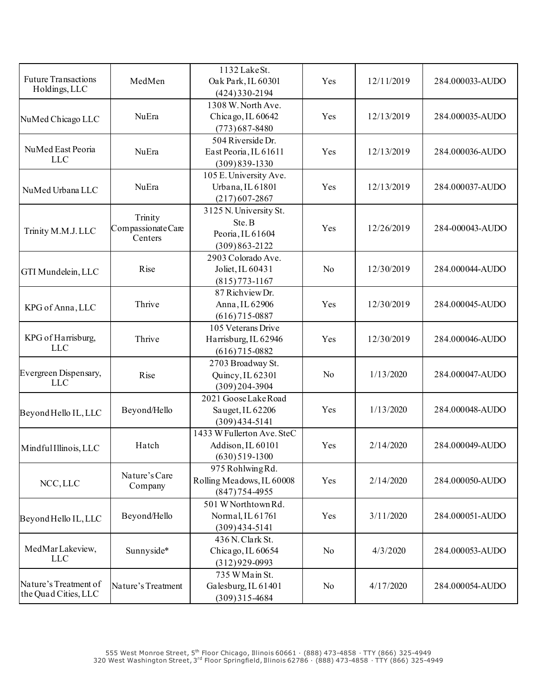| <b>Future Transactions</b><br>Holdings, LLC   | MedMen                                   | 1132 Lake St.<br>Oak Park, IL 60301<br>$(424)$ 330-2194                   | Yes            | 12/11/2019 | 284.000033-AUDO |
|-----------------------------------------------|------------------------------------------|---------------------------------------------------------------------------|----------------|------------|-----------------|
| NuMed Chicago LLC                             | NuEra                                    | 1308 W. North Ave.<br>Chicago, IL 60642<br>$(773)$ 687-8480               | Yes            | 12/13/2019 | 284.000035-AUDO |
| NuMed East Peoria<br><b>LLC</b>               | NuEra                                    | 504 Riverside Dr.<br>East Peoria, IL 61611<br>$(309)839-1330$             | Yes            | 12/13/2019 | 284.000036-AUDO |
| NuMed Urbana LLC                              | <b>NuEra</b>                             | 105 E. University Ave.<br>Urbana, IL 61801<br>$(217)607 - 2867$           | Yes            | 12/13/2019 | 284.000037-AUDO |
| Trinity M.M.J. LLC                            | Trinity<br>Compassionate Care<br>Centers | 3125 N. University St.<br>Ste. B<br>Peoria, IL 61604<br>$(309)863 - 2122$ | Yes            | 12/26/2019 | 284-000043-AUDO |
| GTI Mundelein, LLC                            | Rise                                     | 2903 Colorado Ave.<br>Joliet, IL 60431<br>$(815)773 - 1167$               | N <sub>o</sub> | 12/30/2019 | 284.000044-AUDO |
| KPG of Anna, LLC                              | Thrive                                   | 87 Richview Dr.<br>Anna, IL 62906<br>$(616)715 - 0887$                    | Yes            | 12/30/2019 | 284.000045-AUDO |
| KPG of Harrisburg,<br><b>LLC</b>              | Thrive                                   | 105 Veterans Drive<br>Harrisburg, IL 62946<br>$(616)715 - 0882$           | Yes            | 12/30/2019 | 284.000046-AUDO |
| Evergreen Dispensary,<br><b>LLC</b>           | Rise                                     | 2703 Broadway St.<br>Quincy, IL 62301<br>$(309)204 - 3904$                | N <sub>o</sub> | 1/13/2020  | 284.000047-AUDO |
| Beyond Hello IL, LLC                          | Beyond/Hello                             | 2021 GooseLakeRoad<br>Sauget, IL 62206<br>$(309)$ 434-5141                | Yes            | 1/13/2020  | 284.000048-AUDO |
| Mindful Illinois, LLC                         | Hatch                                    | 1433 W Fullerton Ave. SteC<br>Addison, IL 60101<br>$(630)$ 519-1300       | Yes            | 2/14/2020  | 284.000049-AUDO |
| NCC, LLC                                      | Nature's Care<br>Company                 | 975 Rohlwing Rd.<br>Rolling Meadows, IL 60008<br>$(847)$ 754-4955         | Yes            | 2/14/2020  | 284.000050-AUDO |
| Beyond Hello IL, LLC                          | Beyond/Hello                             | 501 W Northtown Rd.<br>Normal, IL 61761<br>$(309)$ 434-5141               | Yes            | 3/11/2020  | 284.000051-AUDO |
| MedMarLakeview,<br><b>LLC</b>                 | Sunnyside*                               | 436 N. Clark St.<br>Chicago, IL 60654<br>$(312)929-0993$                  | No             | 4/3/2020   | 284.000053-AUDO |
| Nature's Treatment of<br>the Quad Cities, LLC | Nature's Treatment                       | 735 W Main St.<br>Galesburg, IL 61401<br>$(309)315 - 4684$                | No             | 4/17/2020  | 284.000054-AUDO |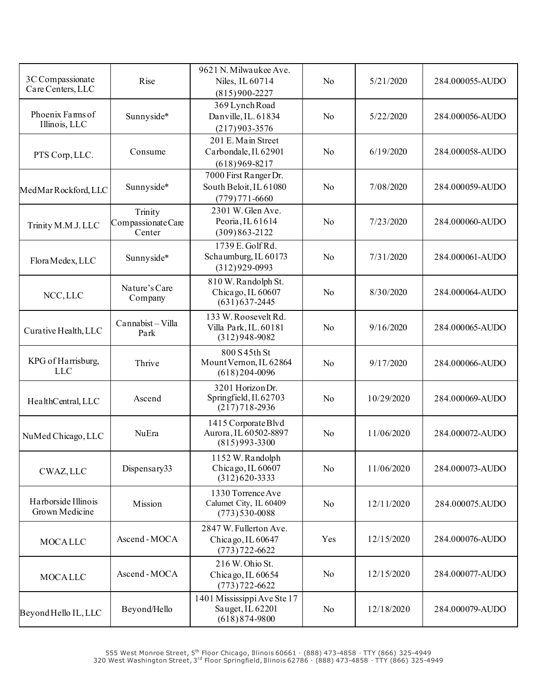| 3C Compassionate     | Rise               | 9621 N. Milwaukee Ave.<br>Niles, IL 60714 | No             | 5/21/2020  | 284.000055-AUDO |
|----------------------|--------------------|-------------------------------------------|----------------|------------|-----------------|
| Care Centers, LLC    |                    | $(815)900 - 2227$                         |                |            |                 |
|                      |                    | 369 Lynch Road                            |                |            |                 |
| Phoenix Farms of     | Sunnyside*         | Danville, IL. 61834                       | N <sub>o</sub> | 5/22/2020  | 284.000056-AUDO |
| Illinois, LLC        |                    | $(217)903 - 3576$                         |                |            |                 |
|                      |                    | 201 E. Main Street                        |                |            |                 |
| PTS Corp, LLC.       | Consume            | Carbondale, Il. 62901                     | No             | 6/19/2020  | 284.000058-AUDO |
|                      |                    | $(618)969 - 8217$                         |                |            |                 |
|                      |                    | 7000 First Ranger Dr.                     |                |            |                 |
| MedMarRockford, LLC  | Sunnyside*         | South Beloit, IL 61080                    | No             | 7/08/2020  | 284.000059-AUDO |
|                      |                    | $(779) 771 - 6660$                        |                |            |                 |
|                      | Trinity            | 2301 W. Glen Ave.                         |                |            |                 |
| Trinity M.M.J. LLC   | Compassionate Care | Peoria, IL 61614                          | No             | 7/23/2020  | 284.000060-AUDO |
|                      | Center             | $(309)863 - 2122$                         |                |            |                 |
|                      |                    | 1739 E. Golf Rd.                          |                |            |                 |
| Flora Medex, LLC     | Sunnyside*         | Schaumburg, IL 60173                      | No             | 7/31/2020  | 284.000061-AUDO |
|                      |                    | $(312)929-0993$                           |                |            |                 |
|                      | Nature's Care      | 810 W. Randolph St.                       |                |            |                 |
| NCC, LLC             | Company            | Chicago, IL 60607<br>$(631)$ 637-2445     | No             | 8/30/2020  | 284.000064-AUDO |
|                      |                    |                                           |                |            |                 |
|                      | Cannabist-Villa    | 133 W. Roosevelt Rd.                      |                |            |                 |
| Curative Health, LLC | Park               | Villa Park, IL. 60181<br>$(312)948-9082$  | No             | 9/16/2020  | 284.000065-AUDO |
|                      |                    |                                           |                |            |                 |
| KPG of Harrisburg,   | Thrive             | 800 S 45th St<br>Mount Vernon, IL 62864   | No             | 9/17/2020  | 284.000066-AUDO |
| <b>LLC</b>           |                    | $(618)$ 204-0096                          |                |            |                 |
|                      |                    | 3201 Horizon Dr.                          |                |            |                 |
|                      | Ascend             | Springfield, Il. 62703                    | No             | 10/29/2020 | 284.000069-AUDO |
| HealthCentral, LLC   |                    | $(217)718 - 2936$                         |                |            |                 |
|                      |                    | 1415 Corporate Blvd                       |                |            |                 |
| NuMed Chicago, LLC   | NuEra              | Aurora, IL 60502-8897                     | No             | 11/06/2020 | 284.000072-AUDO |
|                      |                    | $(815)993 - 3300$                         |                |            |                 |
|                      |                    | 1152 W. Randolph                          |                |            |                 |
| CWAZ, LLC            | Dispensary33       | Chicago, IL 60607                         | N <sub>o</sub> | 11/06/2020 | 284.000073-AUDO |
|                      |                    | $(312)620 - 3333$                         |                |            |                 |
|                      |                    | 1330 Torrence Ave                         |                |            |                 |
| Harborside Illinois  | Mission            | Calumet City, IL 60409                    | N <sub>o</sub> | 12/11/2020 | 284.000075.AUDO |
| Grown Medicine       |                    | $(773)$ 530-0088                          |                |            |                 |
|                      |                    | 2847 W. Fullerton Ave.                    |                |            |                 |
| <b>MOCALLC</b>       | Ascend-MOCA        | Chicago, IL 60647                         | Yes            | 12/15/2020 | 284.000076-AUDO |
|                      |                    | $(773) 722 - 6622$                        |                |            |                 |
|                      |                    | 216 W. Ohio St.                           |                |            |                 |
| <b>MOCALLC</b>       | Ascend-MOCA        | Chicago, IL 60654                         | N <sub>o</sub> | 12/15/2020 | 284.000077-AUDO |
|                      |                    | $(773)722 - 6622$                         |                |            |                 |
|                      |                    | 1401 Mississippi Ave Ste 17               |                |            |                 |
| Beyond Hello IL, LLC | Beyond/Hello       | Sauget, IL 62201                          | No             | 12/18/2020 | 284.000079-AUDO |
|                      |                    | $(618)874 - 9800$                         |                |            |                 |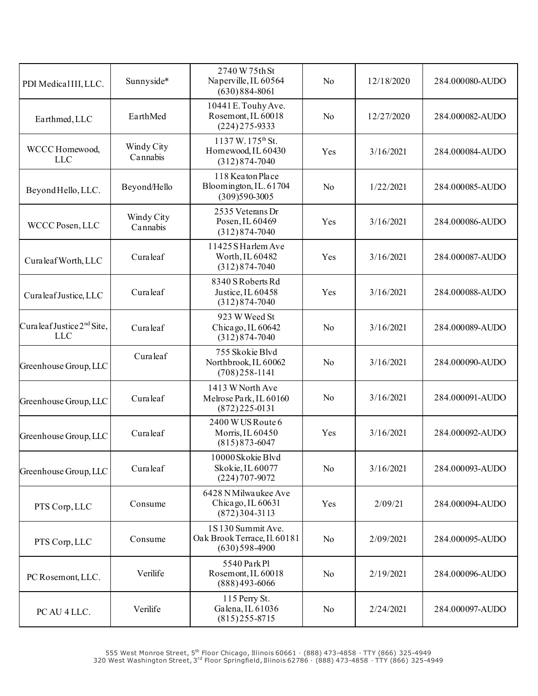| PDI MedicalIII, LLC.                                 | Sunnyside*             | 2740 W 75th St<br>Naperville, IL 60564<br>$(630)884 - 8061$              | N <sub>o</sub> | 12/18/2020 | 284.000080-AUDO |
|------------------------------------------------------|------------------------|--------------------------------------------------------------------------|----------------|------------|-----------------|
| Earthmed, LLC                                        | EarthMed               | 10441E. Touhy Ave.<br>Rosemont, IL 60018<br>$(224)$ 275-9333             | No             | 12/27/2020 | 284.000082-AUDO |
| WCCC Homewood,<br><b>LLC</b>                         | Windy City<br>Cannabis | 1137 W. 175 <sup>th</sup> St.<br>Homewood, IL 60430<br>$(312)874 - 7040$ | Yes            | 3/16/2021  | 284.000084-AUDO |
| Beyond Hello, LLC.                                   | Beyond/Hello           | 118 Keaton Place<br>Bloomington, IL. 61704<br>$(309)590-3005$            | No             | 1/22/2021  | 284.000085-AUDO |
| WCCC Posen, LLC                                      | Windy City<br>Cannabis | 2535 Veterans Dr<br>Posen, IL 60469<br>$(312)874 - 7040$                 | Yes            | 3/16/2021  | 284.000086-AUDO |
| Curaleaf Worth, LLC                                  | Curaleaf               | 11425 S Harlem Ave<br>Worth, IL 60482<br>$(312)874 - 7040$               | Yes            | 3/16/2021  | 284.000087-AUDO |
| Curaleaf Justice, LLC                                | Curaleaf               | 8340 S Roberts Rd<br>Justice, IL 60458<br>$(312)874 - 7040$              | Yes            | 3/16/2021  | 284.000088-AUDO |
| Curaleaf Justice 2 <sup>nd</sup> Site,<br><b>LLC</b> | Curaleaf               | 923 W Weed St<br>Chicago, IL 60642<br>$(312)874 - 7040$                  | No             | 3/16/2021  | 284.000089-AUDO |
| Greenhouse Group, LLC                                | Curaleaf               | 755 Skokie Blvd<br>Northbrook, IL 60062<br>$(708)$ 258-1141              | No             | 3/16/2021  | 284.000090-AUDO |
| Greenhouse Group, LLC                                | Curaleaf               | 1413 W North Ave<br>Melrose Park, IL 60160<br>$(872)$ 225-0131           | No             | 3/16/2021  | 284.000091-AUDO |
| Greenhouse Group, LLC                                | Curaleaf               | 2400 WUS Route 6<br>Morris, IL 60450<br>$(815) 873 - 6047$               | Yes            | 3/16/2021  | 284.000092-AUDO |
| Greenhouse Group, LLC                                | Curaleaf               | 10000 Skokie Blvd<br>Skokie, IL 60077<br>$(224) 707 - 9072$              | N <sub>o</sub> | 3/16/2021  | 284.000093-AUDO |
| PTS Corp, LLC                                        | Consume                | 6428 N Milwaukee Ave<br>Chicago, IL 60631<br>$(872)304-3113$             | Yes            | 2/09/21    | 284.000094-AUDO |
| PTS Corp, LLC                                        | Consume                | 1S130 Summit Ave.<br>Oak Brook Terrace, Il. 60181<br>$(630)$ 598-4900    | N <sub>o</sub> | 2/09/2021  | 284.000095-AUDO |
| PC Rosemont, LLC.                                    | Verilife               | 5540 Park Pl<br>Rosemont, IL 60018<br>$(888)493-6066$                    | N <sub>o</sub> | 2/19/2021  | 284.000096-AUDO |
| PC AU 4 LLC.                                         | Verilife               | 115 Perry St.<br>Galena, IL 61036<br>$(815)$ 255-8715                    | N <sub>o</sub> | 2/24/2021  | 284.000097-AUDO |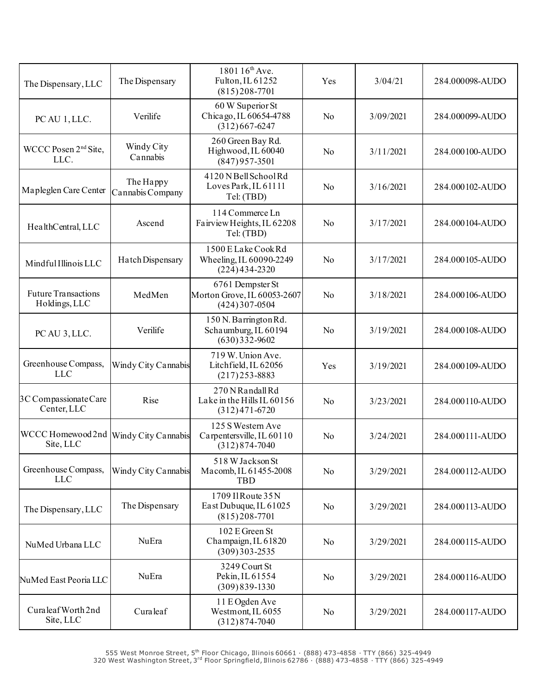| The Dispensary, LLC                                | The Dispensary                | 1801 16 <sup>th</sup> Ave.<br>Fulton, IL 61252<br>$(815)208-7701$    | Yes            | 3/04/21   | 284.000098-AUDO |
|----------------------------------------------------|-------------------------------|----------------------------------------------------------------------|----------------|-----------|-----------------|
| PC AU 1, LLC.                                      | Verilife                      | 60 W Superior St<br>Chicago, IL 60654-4788<br>$(312)667 - 6247$      | No             | 3/09/2021 | 284.000099-AUDO |
| WCCC Posen $2nd$ Site,<br>LLC.                     | Windy City<br>Cannabis        | 260 Green Bay Rd.<br>Highwood, IL 60040<br>$(847)957 - 3501$         | No             | 3/11/2021 | 284.000100-AUDO |
| Mapleglen Care Center                              | The Happy<br>Cannabis Company | 4120 NBell School Rd<br>Loves Park, IL 61111<br>Tel: (TBD)           | No             | 3/16/2021 | 284.000102-AUDO |
| HealthCentral, LLC                                 | Ascend                        | 114 Commerce Ln<br>Fairview Heights, IL 62208<br>Tel: (TBD)          | No             | 3/17/2021 | 284.000104-AUDO |
| Mindful Illinois LLC                               | Hatch Dispensary              | 1500 E Lake Cook Rd<br>Wheeling, IL 60090-2249<br>$(224)434-2320$    | No             | 3/17/2021 | 284.000105-AUDO |
| <b>Future Transactions</b><br>Holdings, LLC        | MedMen                        | 6761 Dempster St<br>Morton Grove, IL 60053-2607<br>$(424)307 - 0504$ | N <sub>o</sub> | 3/18/2021 | 284.000106-AUDO |
| PC AU 3, LLC.                                      | Verilife                      | 150 N. Barrington Rd.<br>Schaumburg, IL 60194<br>$(630)332 - 9602$   | No             | 3/19/2021 | 284.000108-AUDO |
| Greenhouse Compass,<br><b>LLC</b>                  | Windy City Cannabis           | 719 W. Union Ave.<br>Litchfield, IL 62056<br>$(217)$ 253-8883        | Yes            | 3/19/2021 | 284.000109-AUDO |
| 3C Compassionate Care<br>Center, LLC               | Rise                          | 270 N Randall Rd<br>Lake in the Hills IL 60156<br>$(312)471 - 6720$  | No             | 3/23/2021 | 284.000110-AUDO |
| WCCC Homewood 2nd Windy City Cannabis<br>Site, LLC |                               | 125 S Western Ave<br>Carpentersville, IL 60110<br>$(312)874 - 7040$  | No             | 3/24/2021 | 284.000111-AUDO |
| Greenhouse Compass,<br><b>LLC</b>                  | Windy City Cannabis           | 518 W Jackson St<br>Macomb, IL 61455-2008<br><b>TBD</b>              | No             | 3/29/2021 | 284.000112-AUDO |
| The Dispensary, LLC                                | The Dispensary                | 1709 Il Route 35 N<br>East Dubuque, IL 61025<br>$(815)208 - 7701$    | No             | 3/29/2021 | 284.000113-AUDO |
| NuMed Urbana LLC                                   | NuEra                         | 102 E Green St<br>Champaign, IL 61820<br>$(309)303 - 2535$           | No             | 3/29/2021 | 284.000115-AUDO |
| NuMed East Peoria LLC                              | NuEra                         | 3249 Court St<br>Pekin, IL 61554<br>$(309)839-1330$                  | No             | 3/29/2021 | 284.000116-AUDO |
| Curaleaf Worth 2nd<br>Site, LLC                    | Curaleaf                      | 11 E Ogden Ave<br>Westmont, IL 6055<br>$(312)874 - 7040$             | No             | 3/29/2021 | 284.000117-AUDO |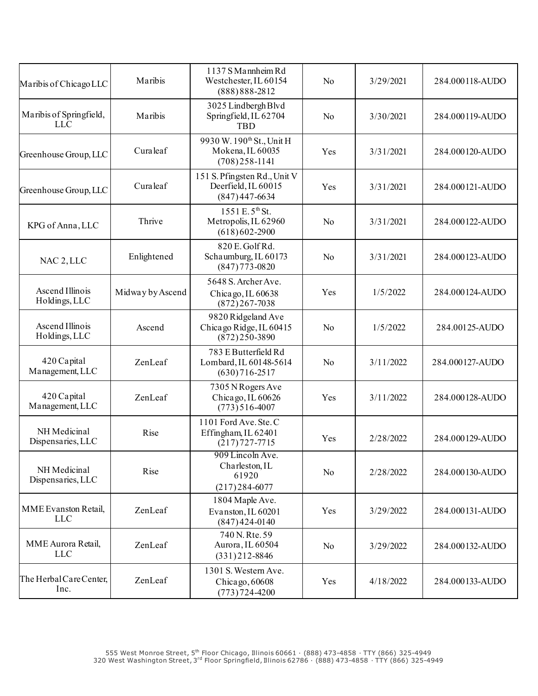| Maribis of Chicago LLC                | Maribis          | 1137 S Mannheim Rd<br>Westchester, IL 60154<br>$(888) 888 - 2812$             | N <sub>o</sub> | 3/29/2021 | 284.000118-AUDO |
|---------------------------------------|------------------|-------------------------------------------------------------------------------|----------------|-----------|-----------------|
| Maribis of Springfield,<br><b>LLC</b> | Maribis          | 3025 Lindbergh Blvd<br>Springfield, IL 62704<br>TBD                           | No             | 3/30/2021 | 284.000119-AUDO |
| Greenhouse Group, LLC                 | Curaleaf         | 9930 W. 190 <sup>th</sup> St., Unit H<br>Mokena, IL 60035<br>$(708)$ 258-1141 | Yes            | 3/31/2021 | 284.000120-AUDO |
| Greenhouse Group, LLC                 | Curaleaf         | 151 S. Pfingsten Rd., Unit V<br>Deerfield, IL 60015<br>$(847)447-6634$        | Yes            | 3/31/2021 | 284.000121-AUDO |
| KPG of Anna, LLC                      | Thrive           | 1551 E.5 <sup>th</sup> St.<br>Metropolis, IL 62960<br>$(618)602-2900$         | No             | 3/31/2021 | 284.000122-AUDO |
| NAC 2, LLC                            | Enlightened      | 820 E. Golf Rd.<br>Schaumburg, IL 60173<br>$(847)773 - 0820$                  | N <sub>0</sub> | 3/31/2021 | 284.000123-AUDO |
| Ascend Illinois<br>Holdings, LLC      | Midway by Ascend | 5648 S. Archer Ave.<br>Chicago, IL 60638<br>$(872)267 - 7038$                 | Yes            | 1/5/2022  | 284.000124-AUDO |
| Ascend Illinois<br>Holdings, LLC      | Ascend           | 9820 Ridgeland Ave<br>Chicago Ridge, IL 60415<br>$(872)$ 250-3890             | No             | 1/5/2022  | 284.00125-AUDO  |
| 420 Capital<br>Management, LLC        | ZenLeaf          | 783 E Butterfield Rd<br>Lombard, IL 60148-5614<br>$(630)$ 716-2517            | No             | 3/11/2022 | 284.000127-AUDO |
| 420 Capital<br>Management, LLC        | ZenLeaf          | 7305 NRogers Ave<br>Chicago, IL 60626<br>$(773)$ 516-4007                     | Yes            | 3/11/2022 | 284.000128-AUDO |
| NH Medicinal<br>Dispensaries, LLC     | Rise             | 1101 Ford Ave. Ste. C<br>Effingham, IL 62401<br>$(217)727 - 7715$             | Yes            | 2/28/2022 | 284.000129-AUDO |
| NH Medicinal<br>Dispensaries, LLC     | Rise             | 909 Lincoln Ave.<br>Charleston, IL<br>61920<br>$(217)$ 284-6077               | No             | 2/28/2022 | 284.000130-AUDO |
| MME Evanston Retail,<br><b>LLC</b>    | ZenLeaf          | 1804 Maple Ave.<br>Evanston, IL 60201<br>$(847)424-0140$                      | Yes            | 3/29/2022 | 284.000131-AUDO |
| MME Aurora Retail,<br><b>LLC</b>      | ZenLeaf          | 740 N. Rte. 59<br>Aurora, IL 60504<br>$(331)212 - 8846$                       | N <sub>o</sub> | 3/29/2022 | 284.000132-AUDO |
| The Herbal Care Center,<br>Inc.       | ZenLeaf          | 1301 S. Western Ave.<br>Chicago, $60608$<br>$(773) 724 - 4200$                | Yes            | 4/18/2022 | 284.000133-AUDO |